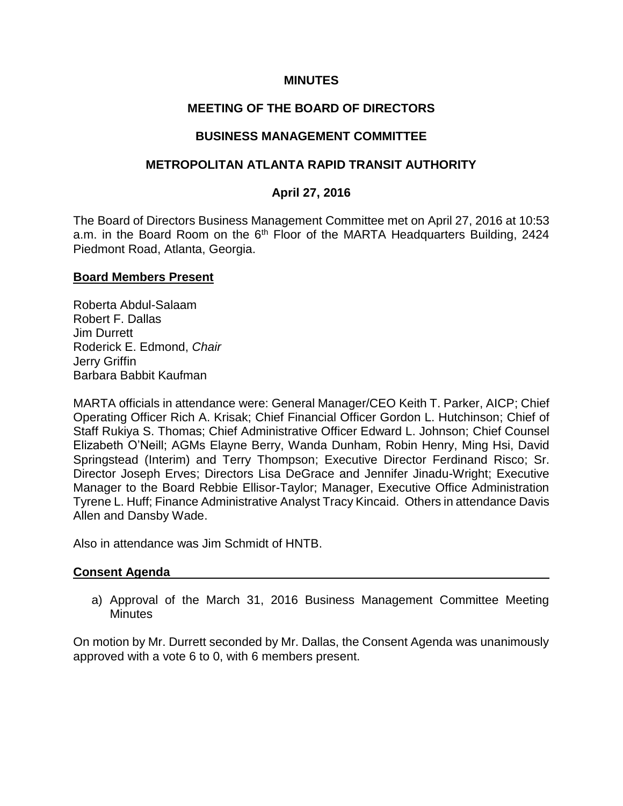### **MINUTES**

## **MEETING OF THE BOARD OF DIRECTORS**

### **BUSINESS MANAGEMENT COMMITTEE**

### **METROPOLITAN ATLANTA RAPID TRANSIT AUTHORITY**

### **April 27, 2016**

The Board of Directors Business Management Committee met on April 27, 2016 at 10:53 a.m. in the Board Room on the 6<sup>th</sup> Floor of the MARTA Headquarters Building, 2424 Piedmont Road, Atlanta, Georgia.

#### **Board Members Present**

Roberta Abdul-Salaam Robert F. Dallas Jim Durrett Roderick E. Edmond, *Chair* Jerry Griffin Barbara Babbit Kaufman

MARTA officials in attendance were: General Manager/CEO Keith T. Parker, AICP; Chief Operating Officer Rich A. Krisak; Chief Financial Officer Gordon L. Hutchinson; Chief of Staff Rukiya S. Thomas; Chief Administrative Officer Edward L. Johnson; Chief Counsel Elizabeth O'Neill; AGMs Elayne Berry, Wanda Dunham, Robin Henry, Ming Hsi, David Springstead (Interim) and Terry Thompson; Executive Director Ferdinand Risco; Sr. Director Joseph Erves; Directors Lisa DeGrace and Jennifer Jinadu-Wright; Executive Manager to the Board Rebbie Ellisor-Taylor; Manager, Executive Office Administration Tyrene L. Huff; Finance Administrative Analyst Tracy Kincaid. Others in attendance Davis Allen and Dansby Wade.

Also in attendance was Jim Schmidt of HNTB.

#### **Consent Agenda**

a) Approval of the March 31, 2016 Business Management Committee Meeting **Minutes** 

On motion by Mr. Durrett seconded by Mr. Dallas, the Consent Agenda was unanimously approved with a vote 6 to 0, with 6 members present.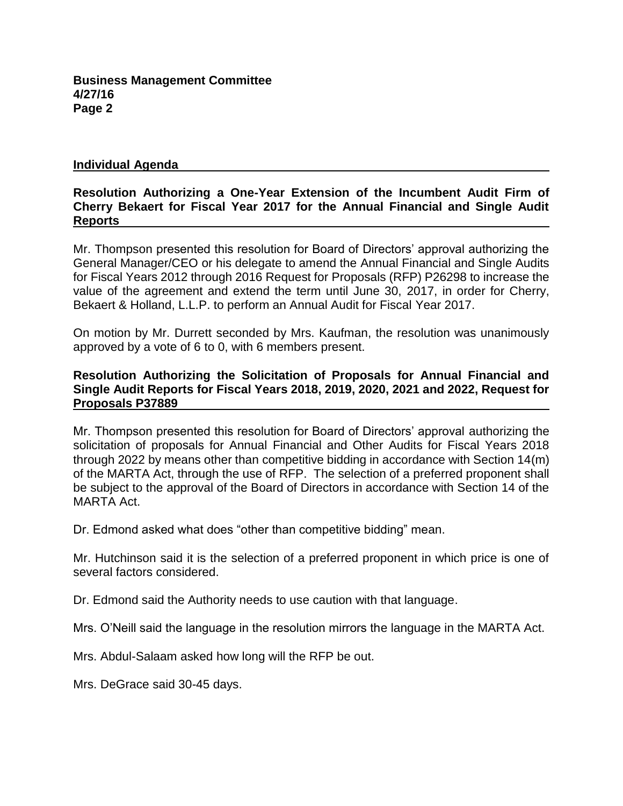#### **Individual Agenda**

## **Resolution Authorizing a One-Year Extension of the Incumbent Audit Firm of Cherry Bekaert for Fiscal Year 2017 for the Annual Financial and Single Audit Reports**

Mr. Thompson presented this resolution for Board of Directors' approval authorizing the General Manager/CEO or his delegate to amend the Annual Financial and Single Audits for Fiscal Years 2012 through 2016 Request for Proposals (RFP) P26298 to increase the value of the agreement and extend the term until June 30, 2017, in order for Cherry, Bekaert & Holland, L.L.P. to perform an Annual Audit for Fiscal Year 2017.

On motion by Mr. Durrett seconded by Mrs. Kaufman, the resolution was unanimously approved by a vote of 6 to 0, with 6 members present.

## **Resolution Authorizing the Solicitation of Proposals for Annual Financial and Single Audit Reports for Fiscal Years 2018, 2019, 2020, 2021 and 2022, Request for Proposals P37889**

Mr. Thompson presented this resolution for Board of Directors' approval authorizing the solicitation of proposals for Annual Financial and Other Audits for Fiscal Years 2018 through 2022 by means other than competitive bidding in accordance with Section 14(m) of the MARTA Act, through the use of RFP. The selection of a preferred proponent shall be subject to the approval of the Board of Directors in accordance with Section 14 of the MARTA Act.

Dr. Edmond asked what does "other than competitive bidding" mean.

Mr. Hutchinson said it is the selection of a preferred proponent in which price is one of several factors considered.

Dr. Edmond said the Authority needs to use caution with that language.

Mrs. O'Neill said the language in the resolution mirrors the language in the MARTA Act.

Mrs. Abdul-Salaam asked how long will the RFP be out.

Mrs. DeGrace said 30-45 days.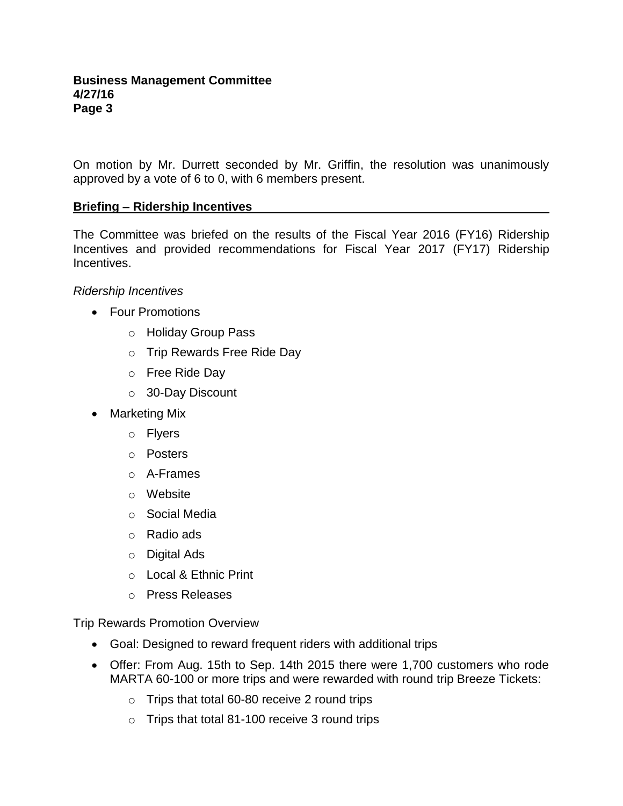On motion by Mr. Durrett seconded by Mr. Griffin, the resolution was unanimously approved by a vote of 6 to 0, with 6 members present.

## **Briefing – Ridership Incentives**

The Committee was briefed on the results of the Fiscal Year 2016 (FY16) Ridership Incentives and provided recommendations for Fiscal Year 2017 (FY17) Ridership Incentives.

### *Ridership Incentives*

- Four Promotions
	- o Holiday Group Pass
	- o Trip Rewards Free Ride Day
	- o Free Ride Day
	- o 30-Day Discount
- Marketing Mix
	- o Flyers
	- o Posters
	- o A-Frames
	- o Website
	- o Social Media
	- o Radio ads
	- o Digital Ads
	- o Local & Ethnic Print
	- o Press Releases

Trip Rewards Promotion Overview

- Goal: Designed to reward frequent riders with additional trips
- Offer: From Aug. 15th to Sep. 14th 2015 there were 1,700 customers who rode MARTA 60-100 or more trips and were rewarded with round trip Breeze Tickets:
	- o Trips that total 60-80 receive 2 round trips
	- o Trips that total 81-100 receive 3 round trips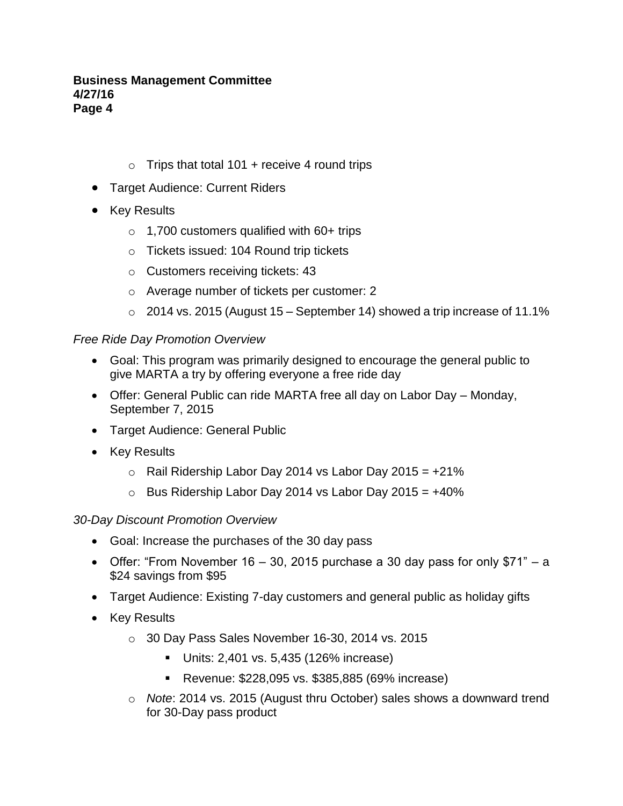- $\circ$  Trips that total 101 + receive 4 round trips
- **Target Audience: Current Riders**
- Key Results
	- $\circ$  1,700 customers qualified with 60+ trips
	- o Tickets issued: 104 Round trip tickets
	- o Customers receiving tickets: 43
	- o Average number of tickets per customer: 2
	- $\circ$  2014 vs. 2015 (August 15 September 14) showed a trip increase of 11.1%

## *Free Ride Day Promotion Overview*

- Goal: This program was primarily designed to encourage the general public to give MARTA a try by offering everyone a free ride day
- Offer: General Public can ride MARTA free all day on Labor Day Monday, September 7, 2015
- Target Audience: General Public
- Key Results
	- $\circ$  Rail Ridership Labor Day 2014 vs Labor Day 2015 =  $+21\%$
	- $\circ$  Bus Ridership Labor Day 2014 vs Labor Day 2015 =  $+40\%$

## *30-Day Discount Promotion Overview*

- Goal: Increase the purchases of the 30 day pass
- Offer: "From November 16 30, 2015 purchase a 30 day pass for only  $$71" a$ \$24 savings from \$95
- Target Audience: Existing 7-day customers and general public as holiday gifts
- Key Results
	- o 30 Day Pass Sales November 16-30, 2014 vs. 2015
		- Units: 2,401 vs. 5,435 (126% increase)
		- **Revenue: \$228,095 vs. \$385,885 (69% increase)**
	- o *Note*: 2014 vs. 2015 (August thru October) sales shows a downward trend for 30-Day pass product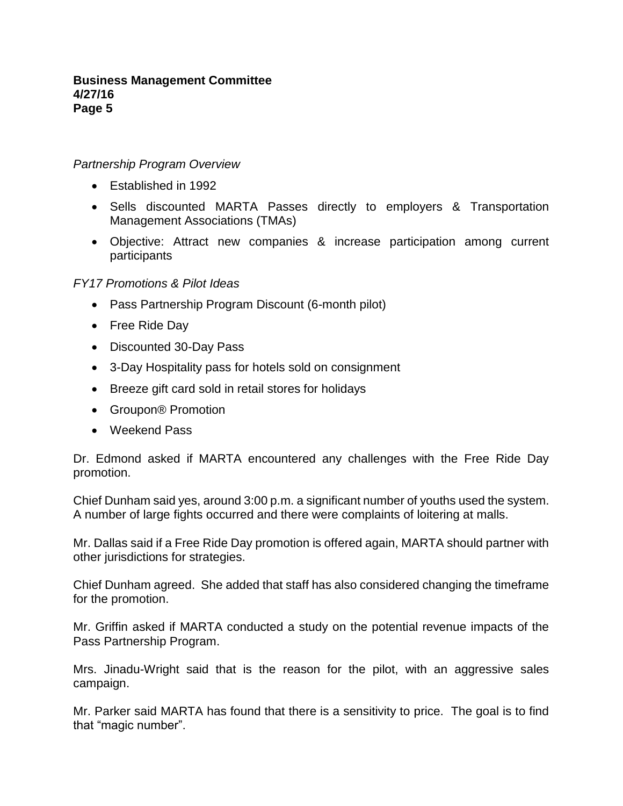### *Partnership Program Overview*

- Established in 1992
- Sells discounted MARTA Passes directly to employers & Transportation Management Associations (TMAs)
- Objective: Attract new companies & increase participation among current participants

### *FY17 Promotions & Pilot Ideas*

- Pass Partnership Program Discount (6-month pilot)
- Free Ride Day
- Discounted 30-Day Pass
- 3-Day Hospitality pass for hotels sold on consignment
- Breeze gift card sold in retail stores for holidays
- Groupon<sup>®</sup> Promotion
- Weekend Pass

Dr. Edmond asked if MARTA encountered any challenges with the Free Ride Day promotion.

Chief Dunham said yes, around 3:00 p.m. a significant number of youths used the system. A number of large fights occurred and there were complaints of loitering at malls.

Mr. Dallas said if a Free Ride Day promotion is offered again, MARTA should partner with other jurisdictions for strategies.

Chief Dunham agreed. She added that staff has also considered changing the timeframe for the promotion.

Mr. Griffin asked if MARTA conducted a study on the potential revenue impacts of the Pass Partnership Program.

Mrs. Jinadu-Wright said that is the reason for the pilot, with an aggressive sales campaign.

Mr. Parker said MARTA has found that there is a sensitivity to price. The goal is to find that "magic number".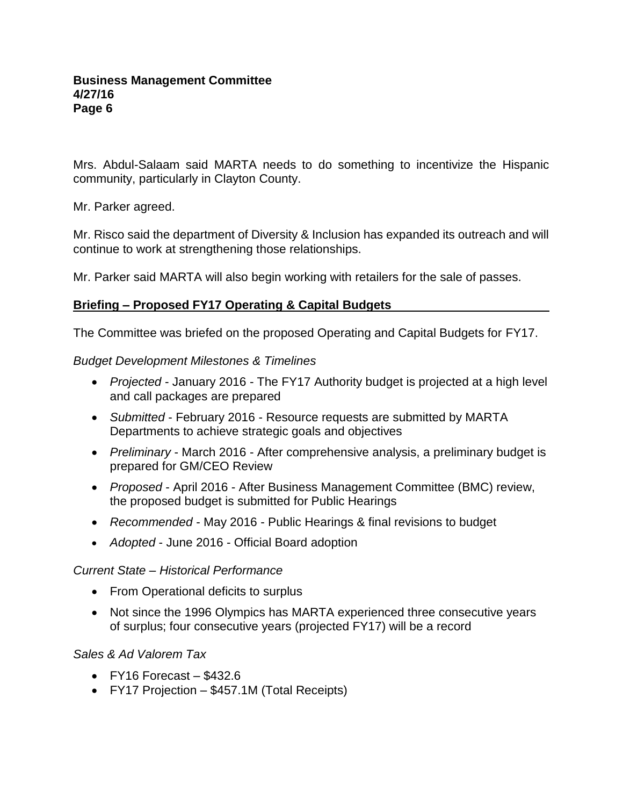Mrs. Abdul-Salaam said MARTA needs to do something to incentivize the Hispanic community, particularly in Clayton County.

Mr. Parker agreed.

Mr. Risco said the department of Diversity & Inclusion has expanded its outreach and will continue to work at strengthening those relationships.

Mr. Parker said MARTA will also begin working with retailers for the sale of passes.

# **Briefing – Proposed FY17 Operating & Capital Budgets**

The Committee was briefed on the proposed Operating and Capital Budgets for FY17.

## *Budget Development Milestones & Timelines*

- *Projected* January 2016 The FY17 Authority budget is projected at a high level and call packages are prepared
- *Submitted*  February 2016 Resource requests are submitted by MARTA Departments to achieve strategic goals and objectives
- *Preliminary* March 2016 After comprehensive analysis, a preliminary budget is prepared for GM/CEO Review
- *Proposed* April 2016 After Business Management Committee (BMC) review, the proposed budget is submitted for Public Hearings
- *Recommended* May 2016 Public Hearings & final revisions to budget
- *Adopted*  June 2016 Official Board adoption

# *Current State – Historical Performance*

- From Operational deficits to surplus
- Not since the 1996 Olympics has MARTA experienced three consecutive years of surplus; four consecutive years (projected FY17) will be a record

# *Sales & Ad Valorem Tax*

- $\bullet$  FY16 Forecast \$432.6
- FY17 Projection \$457.1M (Total Receipts)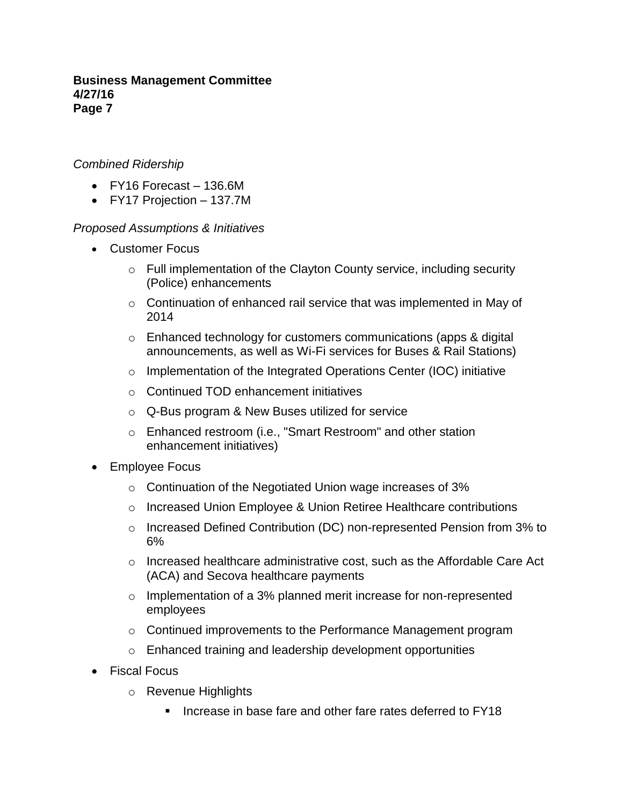## *Combined Ridership*

- FY16 Forecast 136.6M
- FY17 Projection 137.7M

## *Proposed Assumptions & Initiatives*

- Customer Focus
	- o Full implementation of the Clayton County service, including security (Police) enhancements
	- o Continuation of enhanced rail service that was implemented in May of 2014
	- o Enhanced technology for customers communications (apps & digital announcements, as well as Wi-Fi services for Buses & Rail Stations)
	- o Implementation of the Integrated Operations Center (IOC) initiative
	- o Continued TOD enhancement initiatives
	- o Q-Bus program & New Buses utilized for service
	- o Enhanced restroom (i.e., "Smart Restroom" and other station enhancement initiatives)
- Employee Focus
	- o Continuation of the Negotiated Union wage increases of 3%
	- o Increased Union Employee & Union Retiree Healthcare contributions
	- o Increased Defined Contribution (DC) non-represented Pension from 3% to 6%
	- $\circ$  Increased healthcare administrative cost, such as the Affordable Care Act (ACA) and Secova healthcare payments
	- o Implementation of a 3% planned merit increase for non-represented employees
	- o Continued improvements to the Performance Management program
	- o Enhanced training and leadership development opportunities
- Fiscal Focus
	- o Revenue Highlights
		- **Increase in base fare and other fare rates deferred to FY18**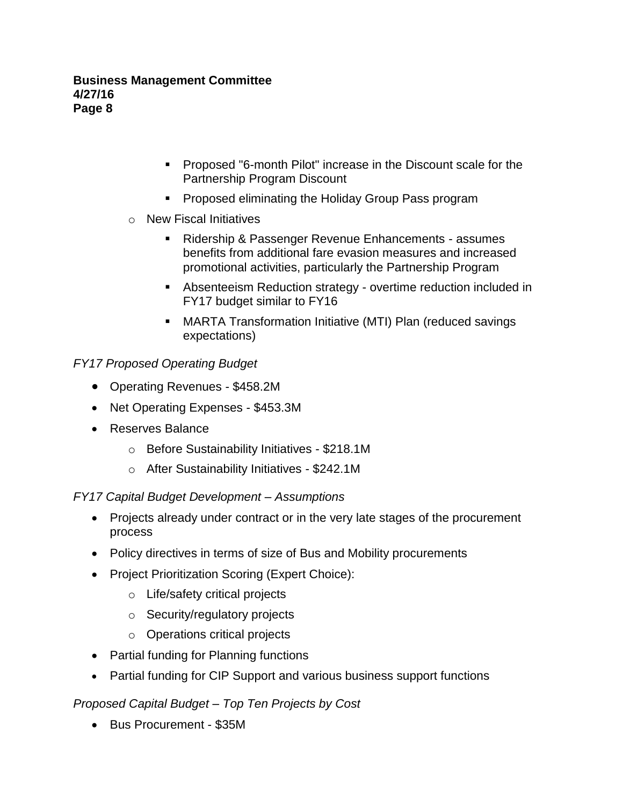- Proposed "6-month Pilot" increase in the Discount scale for the Partnership Program Discount
- **Proposed eliminating the Holiday Group Pass program**
- o New Fiscal Initiatives
	- Ridership & Passenger Revenue Enhancements assumes benefits from additional fare evasion measures and increased promotional activities, particularly the Partnership Program
	- Absenteeism Reduction strategy overtime reduction included in FY17 budget similar to FY16
	- MARTA Transformation Initiative (MTI) Plan (reduced savings expectations)

# *FY17 Proposed Operating Budget*

- Operating Revenues \$458.2M
- Net Operating Expenses \$453.3M
- Reserves Balance
	- o Before Sustainability Initiatives \$218.1M
	- o After Sustainability Initiatives \$242.1M

# *FY17 Capital Budget Development – Assumptions*

- Projects already under contract or in the very late stages of the procurement process
- Policy directives in terms of size of Bus and Mobility procurements
- Project Prioritization Scoring (Expert Choice):
	- o Life/safety critical projects
	- o Security/regulatory projects
	- o Operations critical projects
- Partial funding for Planning functions
- Partial funding for CIP Support and various business support functions

# *Proposed Capital Budget – Top Ten Projects by Cost*

• Bus Procurement - \$35M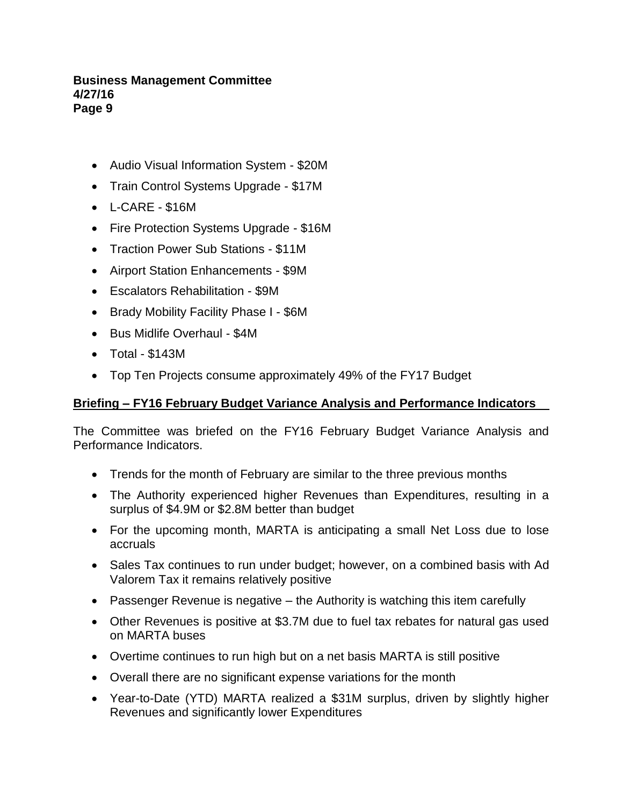- Audio Visual Information System \$20M
- Train Control Systems Upgrade \$17M
- L-CARE \$16M
- Fire Protection Systems Upgrade \$16M
- Traction Power Sub Stations \$11M
- Airport Station Enhancements \$9M
- Escalators Rehabilitation \$9M
- Brady Mobility Facility Phase I \$6M
- Bus Midlife Overhaul \$4M
- Total \$143M
- Top Ten Projects consume approximately 49% of the FY17 Budget

# **Briefing – FY16 February Budget Variance Analysis and Performance Indicators**

The Committee was briefed on the FY16 February Budget Variance Analysis and Performance Indicators.

- Trends for the month of February are similar to the three previous months
- The Authority experienced higher Revenues than Expenditures, resulting in a surplus of \$4.9M or \$2.8M better than budget
- For the upcoming month, MARTA is anticipating a small Net Loss due to lose accruals
- Sales Tax continues to run under budget; however, on a combined basis with Ad Valorem Tax it remains relatively positive
- Passenger Revenue is negative the Authority is watching this item carefully
- Other Revenues is positive at \$3.7M due to fuel tax rebates for natural gas used on MARTA buses
- Overtime continues to run high but on a net basis MARTA is still positive
- Overall there are no significant expense variations for the month
- Year-to-Date (YTD) MARTA realized a \$31M surplus, driven by slightly higher Revenues and significantly lower Expenditures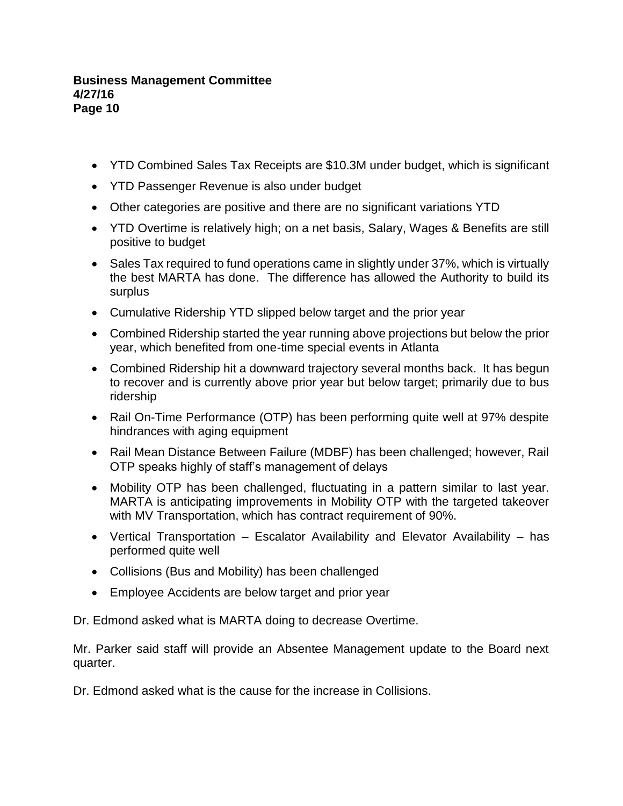- YTD Combined Sales Tax Receipts are \$10.3M under budget, which is significant
- YTD Passenger Revenue is also under budget
- Other categories are positive and there are no significant variations YTD
- YTD Overtime is relatively high; on a net basis, Salary, Wages & Benefits are still positive to budget
- Sales Tax required to fund operations came in slightly under 37%, which is virtually the best MARTA has done. The difference has allowed the Authority to build its surplus
- Cumulative Ridership YTD slipped below target and the prior year
- Combined Ridership started the year running above projections but below the prior year, which benefited from one-time special events in Atlanta
- Combined Ridership hit a downward trajectory several months back. It has begun to recover and is currently above prior year but below target; primarily due to bus ridership
- Rail On-Time Performance (OTP) has been performing quite well at 97% despite hindrances with aging equipment
- Rail Mean Distance Between Failure (MDBF) has been challenged; however, Rail OTP speaks highly of staff's management of delays
- Mobility OTP has been challenged, fluctuating in a pattern similar to last year. MARTA is anticipating improvements in Mobility OTP with the targeted takeover with MV Transportation, which has contract requirement of 90%.
- Vertical Transportation Escalator Availability and Elevator Availability has performed quite well
- Collisions (Bus and Mobility) has been challenged
- Employee Accidents are below target and prior year

Dr. Edmond asked what is MARTA doing to decrease Overtime.

Mr. Parker said staff will provide an Absentee Management update to the Board next quarter.

Dr. Edmond asked what is the cause for the increase in Collisions.